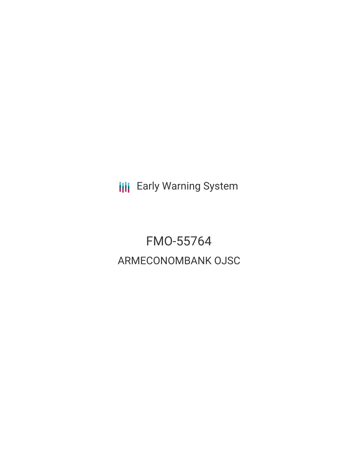**III** Early Warning System

FMO-55764 ARMECONOMBANK OJSC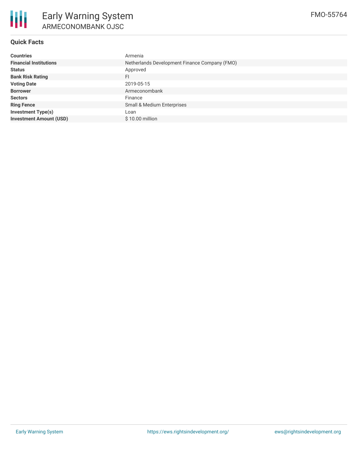

# **Quick Facts**

| <b>Countries</b>               | Armenia                                       |  |  |  |
|--------------------------------|-----------------------------------------------|--|--|--|
| <b>Financial Institutions</b>  | Netherlands Development Finance Company (FMO) |  |  |  |
| <b>Status</b>                  | Approved                                      |  |  |  |
| <b>Bank Risk Rating</b>        | FI.                                           |  |  |  |
| <b>Voting Date</b>             | 2019-05-15                                    |  |  |  |
| <b>Borrower</b>                | Armeconombank                                 |  |  |  |
| <b>Sectors</b>                 | Finance                                       |  |  |  |
| <b>Ring Fence</b>              | Small & Medium Enterprises                    |  |  |  |
| <b>Investment Type(s)</b>      | Loan                                          |  |  |  |
| <b>Investment Amount (USD)</b> | \$10.00 million                               |  |  |  |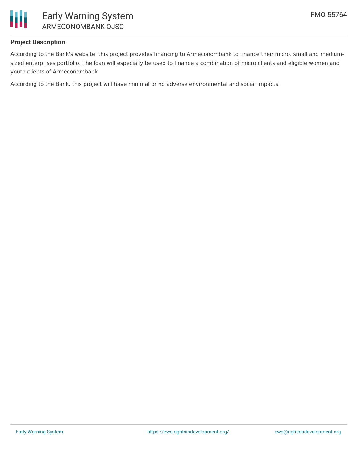

## **Project Description**

According to the Bank's website, this project provides financing to Armeconombank to finance their micro, small and mediumsized enterprises portfolio. The loan will especially be used to finance a combination of micro clients and eligible women and youth clients of Armeconombank.

According to the Bank, this project will have minimal or no adverse environmental and social impacts.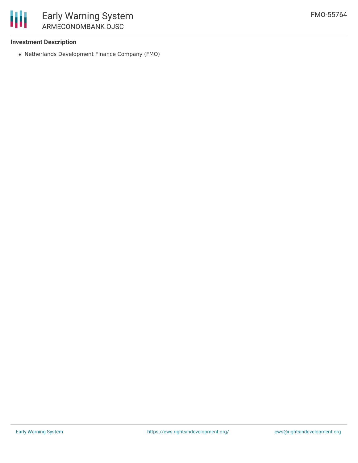

#### **Investment Description**

Netherlands Development Finance Company (FMO)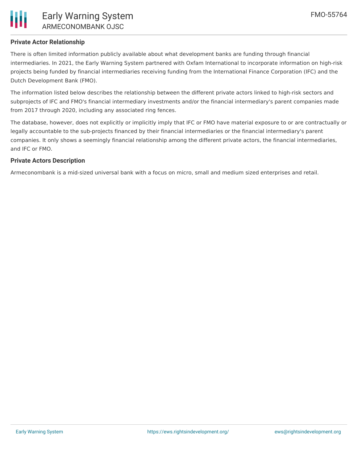

## **Private Actor Relationship**

There is often limited information publicly available about what development banks are funding through financial intermediaries. In 2021, the Early Warning System partnered with Oxfam International to incorporate information on high-risk projects being funded by financial intermediaries receiving funding from the International Finance Corporation (IFC) and the Dutch Development Bank (FMO).

The information listed below describes the relationship between the different private actors linked to high-risk sectors and subprojects of IFC and FMO's financial intermediary investments and/or the financial intermediary's parent companies made from 2017 through 2020, including any associated ring fences.

The database, however, does not explicitly or implicitly imply that IFC or FMO have material exposure to or are contractually or legally accountable to the sub-projects financed by their financial intermediaries or the financial intermediary's parent companies. It only shows a seemingly financial relationship among the different private actors, the financial intermediaries, and IFC or FMO.

#### **Private Actors Description**

Armeconombank is a mid-sized universal bank with a focus on micro, small and medium sized enterprises and retail.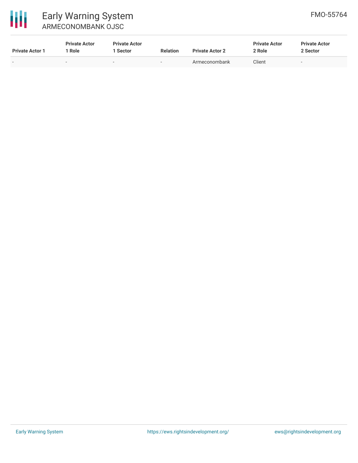

# Early Warning System ARMECONOMBANK OJSC

| <b>Private Actor 1</b> | <b>Private Actor</b><br>' Role | <b>Private Actor</b><br>∣ Sector | <b>Relation</b> | <b>Private Actor 2</b> | <b>Private Actor</b><br>2 Role | <b>Private Actor</b><br>2 Sector |
|------------------------|--------------------------------|----------------------------------|-----------------|------------------------|--------------------------------|----------------------------------|
| $\sim$                 | -                              | -                                | $\sim$          | Armeconombank          | Client                         | -                                |